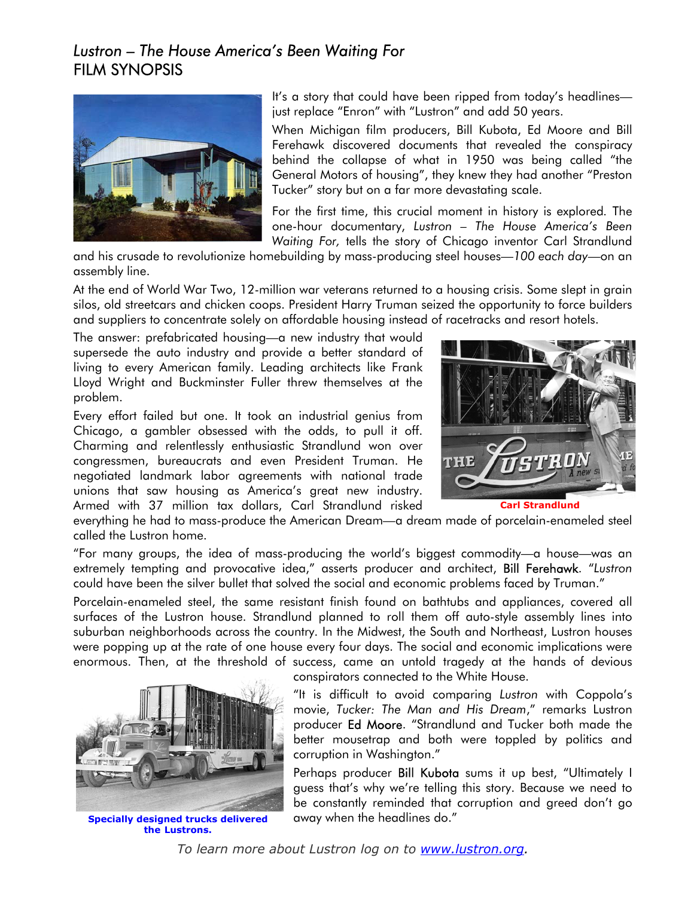## *Lustron – The House America's Been Waiting For*  FILM SYNOPSIS



It's a story that could have been ripped from today's headlines just replace "Enron" with "Lustron" and add 50 years.

When Michigan film producers, Bill Kubota, Ed Moore and Bill Ferehawk discovered documents that revealed the conspiracy behind the collapse of what in 1950 was being called "the General Motors of housing", they knew they had another "Preston Tucker" story but on a far more devastating scale.

For the first time, this crucial moment in history is explored*.* The one-hour documentary, *Lustron – The House America's Been Waiting For,* tells the story of Chicago inventor Carl Strandlund

and his crusade to revolutionize homebuilding by mass-producing steel houses—*100 each day*—on an assembly line.

At the end of World War Two, 12-million war veterans returned to a housing crisis. Some slept in grain silos, old streetcars and chicken coops. President Harry Truman seized the opportunity to force builders and suppliers to concentrate solely on affordable housing instead of racetracks and resort hotels.

The answer: prefabricated housing—a new industry that would supersede the auto industry and provide a better standard of living to every American family. Leading architects like Frank Lloyd Wright and Buckminster Fuller threw themselves at the problem.

Every effort failed but one. It took an industrial genius from Chicago, a gambler obsessed with the odds, to pull it off. Charming and relentlessly enthusiastic Strandlund won over congressmen, bureaucrats and even President Truman. He negotiated landmark labor agreements with national trade unions that saw housing as America's great new industry. Armed with 37 million tax dollars, Carl Strandlund risked



**Carl Strandlund** 

everything he had to mass-produce the American Dream—a dream made of porcelain-enameled steel called the Lustron home.

"For many groups, the idea of mass-producing the world's biggest commodity—a house—was an extremely tempting and provocative idea," asserts producer and architect, Bill Ferehawk. "*Lustron* could have been the silver bullet that solved the social and economic problems faced by Truman."

Porcelain-enameled steel, the same resistant finish found on bathtubs and appliances, covered all surfaces of the Lustron house. Strandlund planned to roll them off auto-style assembly lines into suburban neighborhoods across the country. In the Midwest, the South and Northeast, Lustron houses were popping up at the rate of one house every four days. The social and economic implications were enormous. Then, at the threshold of success, came an untold tragedy at the hands of devious



**the Lustrons.**

conspirators connected to the White House.

"It is difficult to avoid comparing *Lustron* with Coppola's movie, *Tucker: The Man and His Dream*," remarks Lustron producer Ed Moore. "Strandlund and Tucker both made the better mousetrap and both were toppled by politics and corruption in Washington."

Perhaps producer **Bill Kubota** sums it up best, "Ultimately I guess that's why we're telling this story. Because we need to be constantly reminded that corruption and greed don't go **Specially designed trucks delivered** away when the headlines do."

*To learn more about Lustron log on to www.lustron.org.*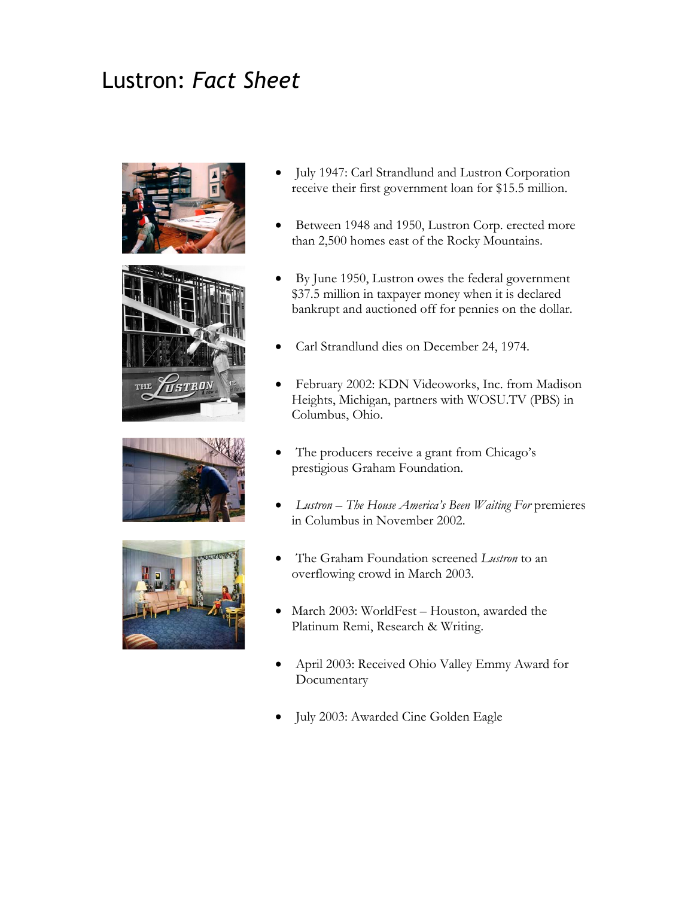## Lustron: *Fact Sheet*









- July 1947: Carl Strandlund and Lustron Corporation receive their first government loan for \$15.5 million.
- Between 1948 and 1950, Lustron Corp. erected more than 2,500 homes east of the Rocky Mountains.
- By June 1950, Lustron owes the federal government \$ 37.5 million in taxpayer money when it is declared . bankrupt and auctioned off for pennies on the dollar
- Carl Strandlund dies on December 24, 1974.
- February 2002: KDN Videoworks, Inc. from Madison H eights, Michigan, partners with WOSU.TV (PBS) in Columbus, Ohio.
- The producers receive a grant from Chicago's p restigious Graham Foundation.
- *Lustron The House America's Been Waiting For* premieres i n Columbus in November 2002.
- The Graham Foundation screened *Lustron* to an overflowing crowd in March 2003.
- March 2003: WorldFest Houston, awarded the Platinum Remi, Research & Writing.
- April 2003: Received Ohio Valley Emmy Award for Documentary
- · July 2003: Awarded Cine Golden Eagle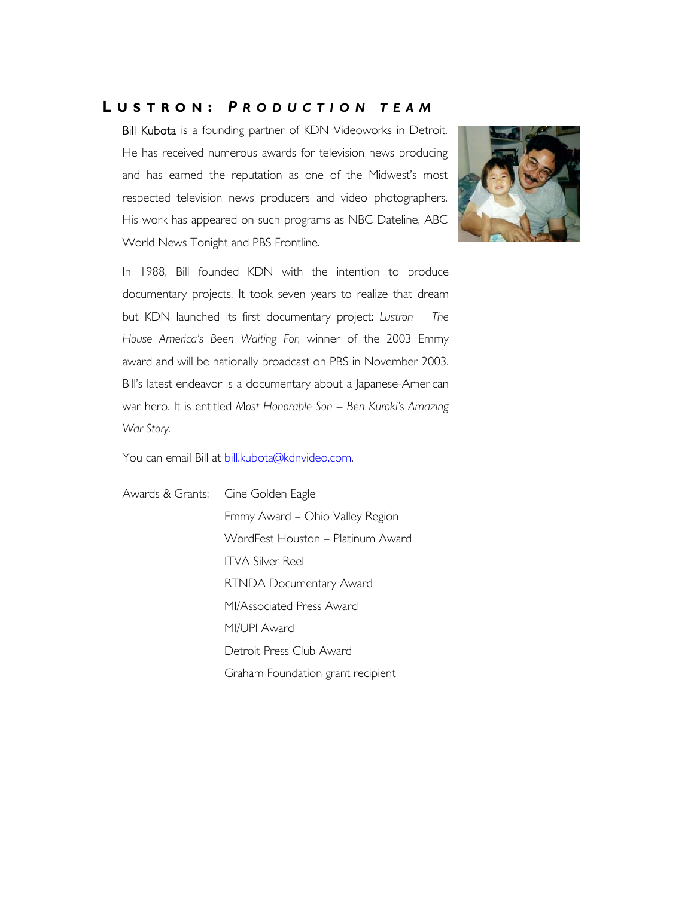## **L USTRON :** *P RODUCTION TEAM*

Bill Kubota is a founding partner of KDN Videoworks in Detroit. He has received numerous awards for television news producing and has earned the reputation as one of the Midwest's most respected television news producers and video photographers. His work has appeared on such programs as NBC Dateline, ABC World News Tonight and PBS Frontline.



In 1988, Bill founded KDN with the intention to produce documentary projects. It took seven years to realize that dream but KDN launched its first documentary project: *Lustron – The House America's Been Waiting For*, winner of the 2003 Emmy award and will be nationally broadcast on PBS in November 2003. Bill's latest endeavor is a documentary about a Japanese-American war hero. It is entitled *Most Honorable Son – Ben Kuroki's Amazing War Story.*

You can email Bill at [bill.kubota@kdnvideo.com](mailto:bill.kubota@kdnvideo.com).

Awards & Grants: Cine Golden Eagle Emmy Award – Ohio Valley Region WordFest Houston – Platinum Award ITVA Silver Reel RTNDA Documentary Award MI/Associated Press Award MI/UPI Award Detroit Press Club Award Graham Foundation grant recipient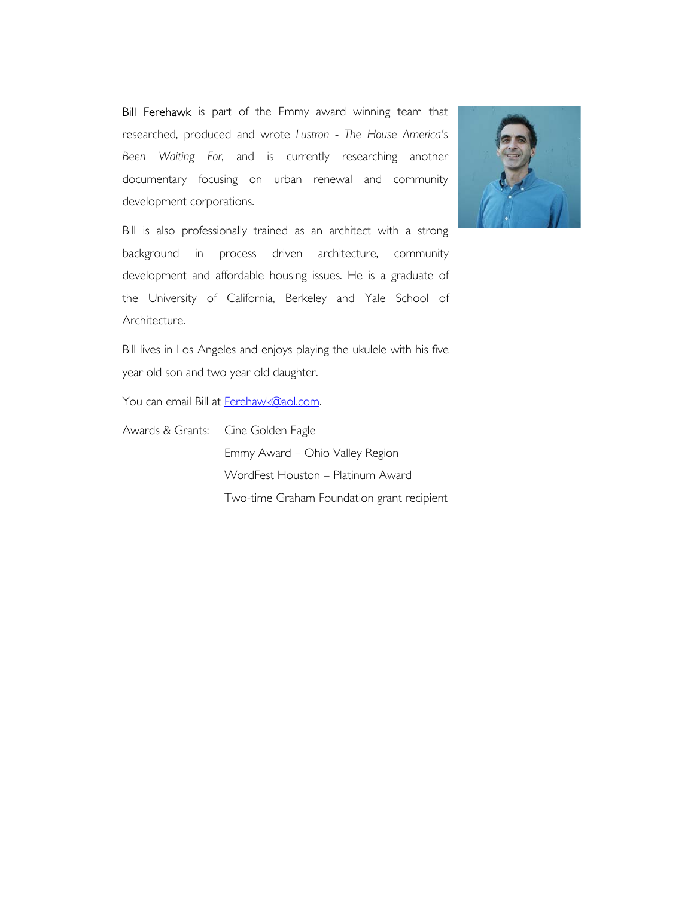Bill Ferehawk is part of the Emmy award winning team that researched, produced and wrote *Lustron - The House America's Been Waiting For*, and is currently researching another documentary focusing on urban renewal and community development corporations.



Bill is also professionally trained as an architect with a strong background in process driven architecture, community development and affordable housing issues. He is a graduate of the University of California, Berkeley and Yale School of Architecture.

Bill lives in Los Angeles and enjoys playing the ukulele with his five year old son and two year old daughter.

You can email Bill at [Ferehawk@aol.com](mailto:Ferehawk@aol.com).

Awards & Grants: Cine Golden Eagle Emmy Award – Ohio Valley Region WordFest Houston – Platinum Award Two-time Graham Foundation grant recipient